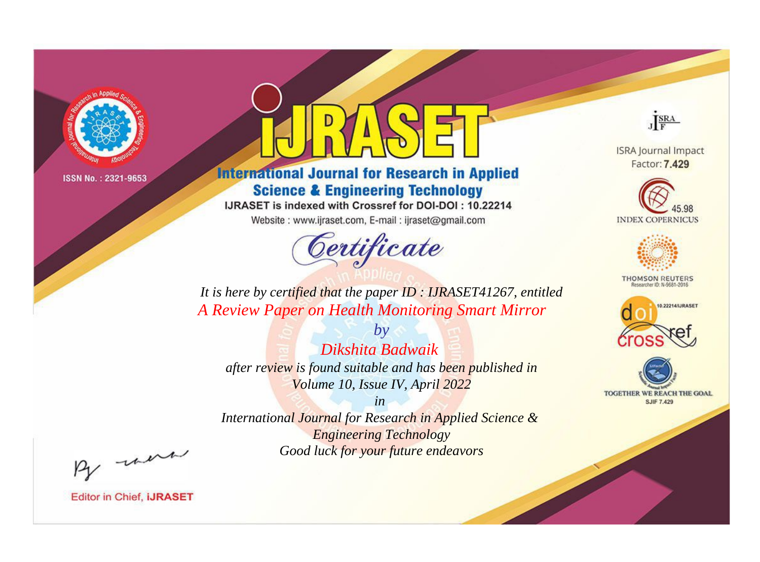

# **International Journal for Research in Applied Science & Engineering Technology**

IJRASET is indexed with Crossref for DOI-DOI: 10.22214

Website: www.ijraset.com, E-mail: ijraset@gmail.com



JERA

**ISRA Journal Impact** Factor: 7.429





**THOMSON REUTERS** 



TOGETHER WE REACH THE GOAL **SJIF 7.429** 

*It is here by certified that the paper ID : IJRASET41267, entitled A Review Paper on Health Monitoring Smart Mirror*

*Dikshita Badwaik after review is found suitable and has been published in Volume 10, Issue IV, April 2022*

*by*

*in International Journal for Research in Applied Science & Engineering Technology*

*Good luck for your future endeavors*

By morn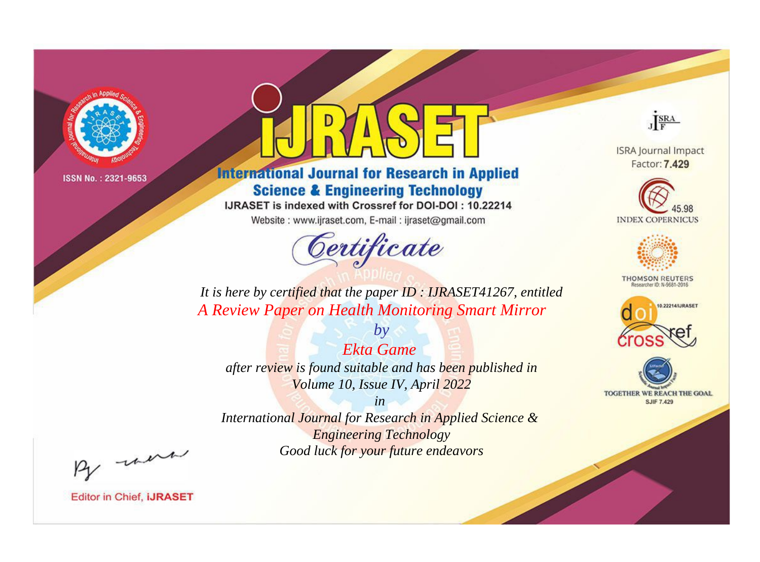

# **International Journal for Research in Applied Science & Engineering Technology**

IJRASET is indexed with Crossref for DOI-DOI: 10.22214

Website: www.ijraset.com, E-mail: ijraset@gmail.com



JERA

**ISRA Journal Impact** Factor: 7.429





**THOMSON REUTERS** 



TOGETHER WE REACH THE GOAL **SJIF 7.429** 

*It is here by certified that the paper ID : IJRASET41267, entitled A Review Paper on Health Monitoring Smart Mirror*

*Ekta Game after review is found suitable and has been published in Volume 10, Issue IV, April 2022*

*by*

*in* 

*International Journal for Research in Applied Science & Engineering Technology Good luck for your future endeavors*

By morn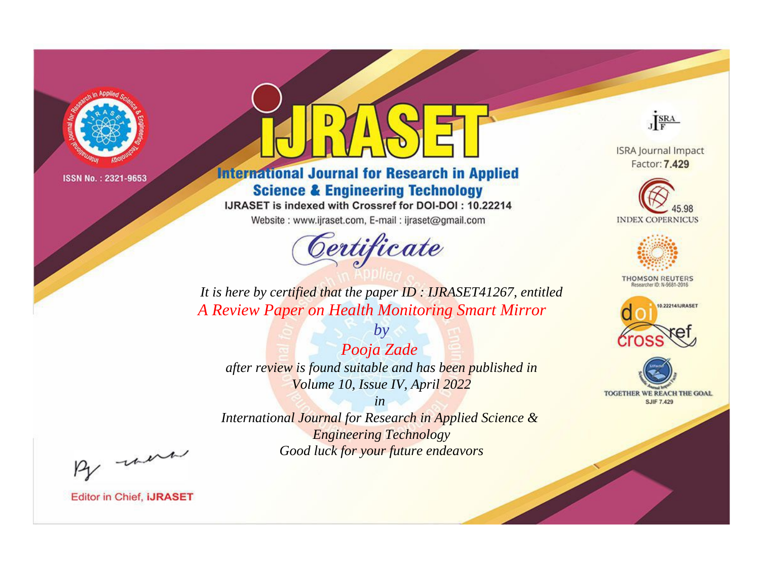

# **International Journal for Research in Applied Science & Engineering Technology**

IJRASET is indexed with Crossref for DOI-DOI: 10.22214

Website: www.ijraset.com, E-mail: ijraset@gmail.com



JERA

**ISRA Journal Impact** Factor: 7.429





**THOMSON REUTERS** 



TOGETHER WE REACH THE GOAL **SJIF 7.429** 

*It is here by certified that the paper ID : IJRASET41267, entitled A Review Paper on Health Monitoring Smart Mirror*

*by Pooja Zade after review is found suitable and has been published in Volume 10, Issue IV, April 2022*

*in* 

*International Journal for Research in Applied Science & Engineering Technology Good luck for your future endeavors*

By morn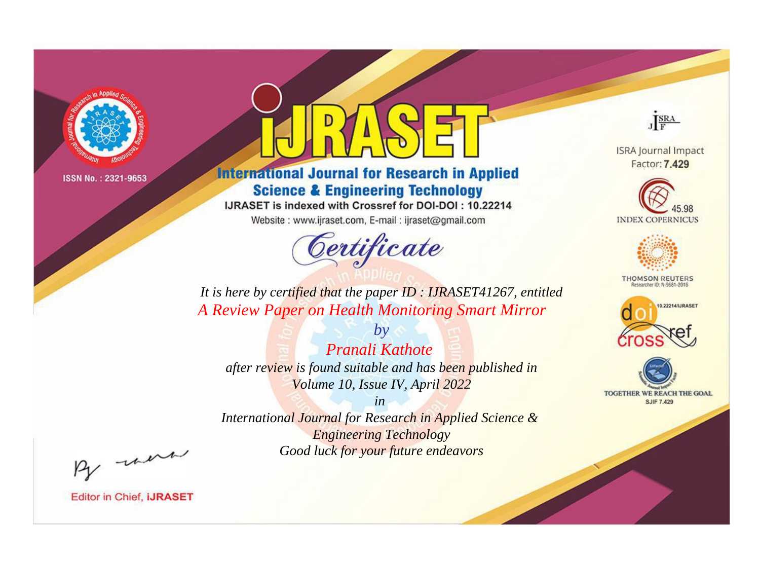

# **International Journal for Research in Applied Science & Engineering Technology**

IJRASET is indexed with Crossref for DOI-DOI: 10.22214

Website: www.ijraset.com, E-mail: ijraset@gmail.com



JERA

**ISRA Journal Impact** Factor: 7.429





**THOMSON REUTERS** 



TOGETHER WE REACH THE GOAL **SJIF 7.429** 

*It is here by certified that the paper ID : IJRASET41267, entitled A Review Paper on Health Monitoring Smart Mirror*

*Pranali Kathote after review is found suitable and has been published in Volume 10, Issue IV, April 2022*

*by*

*in* 

*International Journal for Research in Applied Science & Engineering Technology Good luck for your future endeavors*

By morn